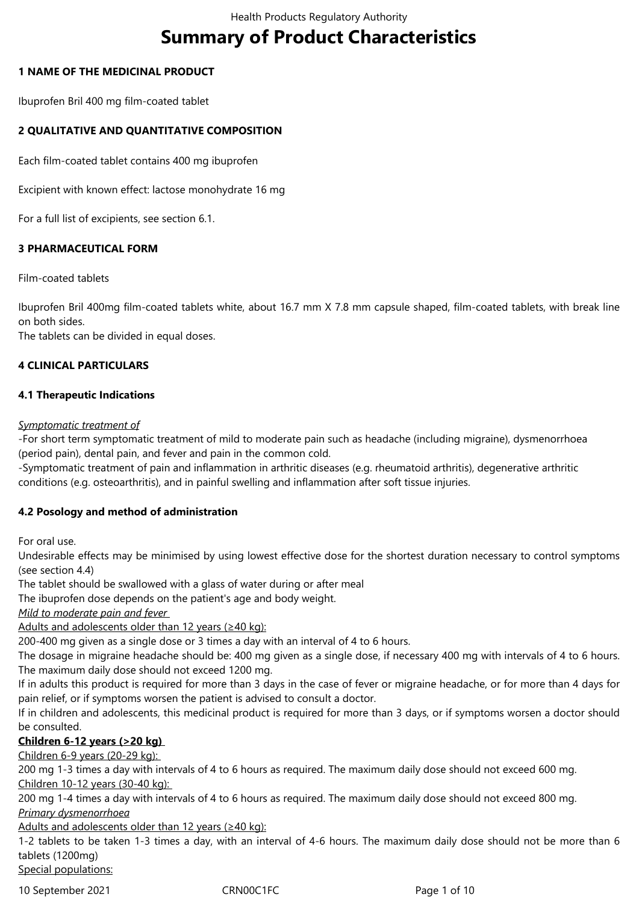# **Summary of Product Characteristics**

# **1 NAME OF THE MEDICINAL PRODUCT**

Ibuprofen Bril 400 mg film-coated tablet

# **2 QUALITATIVE AND QUANTITATIVE COMPOSITION**

Each film-coated tablet contains 400 mg ibuprofen

Excipient with known effect: lactose monohydrate 16 mg

For a full list of excipients, see section 6.1.

# **3 PHARMACEUTICAL FORM**

Film-coated tablets

Ibuprofen Bril 400mg film-coated tablets white, about 16.7 mm X 7.8 mm capsule shaped, film-coated tablets, with break line on both sides.

The tablets can be divided in equal doses.

# **4 CLINICAL PARTICULARS**

# **4.1 Therapeutic Indications**

### *Symptomatic treatment of*

-For short term symptomatic treatment of mild to moderate pain such as headache (including migraine), dysmenorrhoea (period pain), dental pain, and fever and pain in the common cold.

-Symptomatic treatment of pain and inflammation in arthritic diseases (e.g. rheumatoid arthritis), degenerative arthritic conditions (e.g. osteoarthritis), and in painful swelling and inflammation after soft tissue injuries.

# **4.2 Posology and method of administration**

For oral use.

Undesirable effects may be minimised by using lowest effective dose for the shortest duration necessary to control symptoms (see section 4.4)

The tablet should be swallowed with a glass of water during or after meal

The ibuprofen dose depends on the patient's age and body weight.

*Mild to moderate pain and fever* 

Adults and adolescents older than 12 years (≥40 kg):

200-400 mg given as a single dose or 3 times a day with an interval of 4 to 6 hours.

The dosage in migraine headache should be: 400 mg given as a single dose, if necessary 400 mg with intervals of 4 to 6 hours. The maximum daily dose should not exceed 1200 mg.

If in adults this product is required for more than 3 days in the case of fever or migraine headache, or for more than 4 days for pain relief, or if symptoms worsen the patient is advised to consult a doctor.

If in children and adolescents, this medicinal product is required for more than 3 days, or if symptoms worsen a doctor should be consulted.

# **Children 6-12 years (>20 kg)**

Children 6-9 years (20-29 kg):

200 mg 1-3 times a day with intervals of 4 to 6 hours as required. The maximum daily dose should not exceed 600 mg. Children 10-12 years (30-40 kg):

200 mg 1-4 times a day with intervals of 4 to 6 hours as required. The maximum daily dose should not exceed 800 mg. *Primary dysmenorrhoea*

Adults and adolescents older than 12 years (≥40 kg):

1-2 tablets to be taken 1-3 times a day, with an interval of 4-6 hours. The maximum daily dose should not be more than 6 tablets (1200mg) Special populations:

10 September 2021 CRN00C1FC Page 1 of 10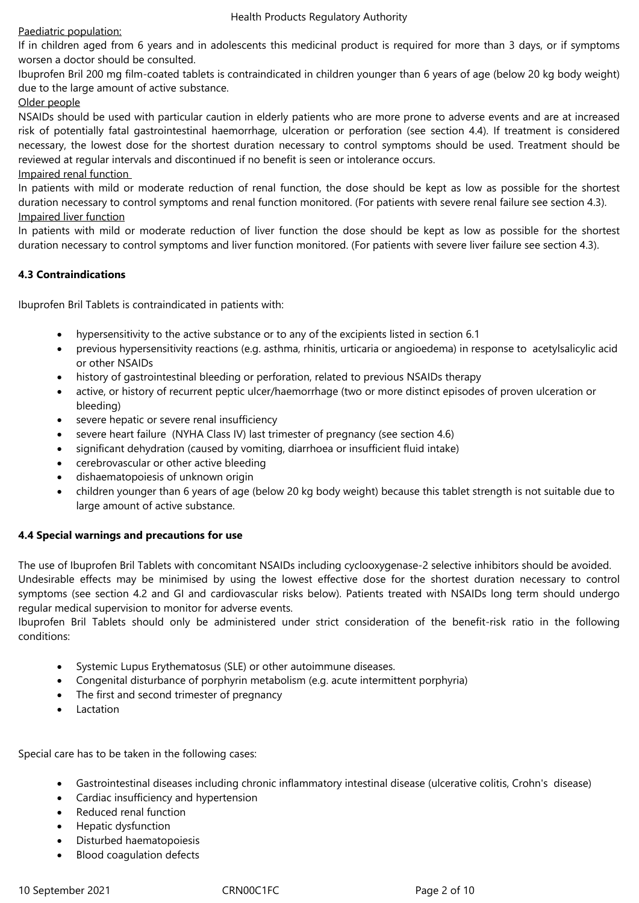# Paediatric population:

If in children aged from 6 years and in adolescents this medicinal product is required for more than 3 days, or if symptoms worsen a doctor should be consulted.

Ibuprofen Bril 200 mg film-coated tablets is contraindicated in children younger than 6 years of age (below 20 kg body weight) due to the large amount of active substance.

# Older people

NSAIDs should be used with particular caution in elderly patients who are more prone to adverse events and are at increased risk of potentially fatal gastrointestinal haemorrhage, ulceration or perforation (see section 4.4). If treatment is considered necessary, the lowest dose for the shortest duration necessary to control symptoms should be used. Treatment should be reviewed at regular intervals and discontinued if no benefit is seen or intolerance occurs.

# Impaired renal function

In patients with mild or moderate reduction of renal function, the dose should be kept as low as possible for the shortest duration necessary to control symptoms and renal function monitored. (For patients with severe renal failure see section 4.3). Impaired liver function

In patients with mild or moderate reduction of liver function the dose should be kept as low as possible for the shortest duration necessary to control symptoms and liver function monitored. (For patients with severe liver failure see section 4.3).

# **4.3 Contraindications**

Ibuprofen Bril Tablets is contraindicated in patients with:

- hypersensitivity to the active substance or to any of the excipients listed in section 6.1
- previous hypersensitivity reactions (e.g. asthma, rhinitis, urticaria or angioedema) in response to acetylsalicylic acid or other NSAIDs
- history of gastrointestinal bleeding or perforation, related to previous NSAIDs therapy
- active, or history of recurrent peptic ulcer/haemorrhage (two or more distinct episodes of proven ulceration or bleeding)
- severe hepatic or severe renal insufficiency
- severe heart failure (NYHA Class IV) last trimester of pregnancy (see section 4.6)
- significant dehydration (caused by vomiting, diarrhoea or insufficient fluid intake)
- cerebrovascular or other active bleeding
- dishaematopoiesis of unknown origin
- children younger than 6 years of age (below 20 kg body weight) because this tablet strength is not suitable due to large amount of active substance.

# **4.4 Special warnings and precautions for use**

The use of Ibuprofen Bril Tablets with concomitant NSAIDs including cyclooxygenase-2 selective inhibitors should be avoided. Undesirable effects may be minimised by using the lowest effective dose for the shortest duration necessary to control symptoms (see section 4.2 and GI and cardiovascular risks below). Patients treated with NSAIDs long term should undergo regular medical supervision to monitor for adverse events.

Ibuprofen Bril Tablets should only be administered under strict consideration of the benefit-risk ratio in the following conditions:

- Systemic Lupus Erythematosus (SLE) or other autoimmune diseases.
- Congenital disturbance of porphyrin metabolism (e.g. acute intermittent porphyria)
- The first and second trimester of pregnancy
- Lactation

Special care has to be taken in the following cases:

- Gastrointestinal diseases including chronic inflammatory intestinal disease (ulcerative colitis, Crohn's disease)
- Cardiac insufficiency and hypertension
- Reduced renal function
- Hepatic dysfunction
- Disturbed haematopoiesis
- Blood coagulation defects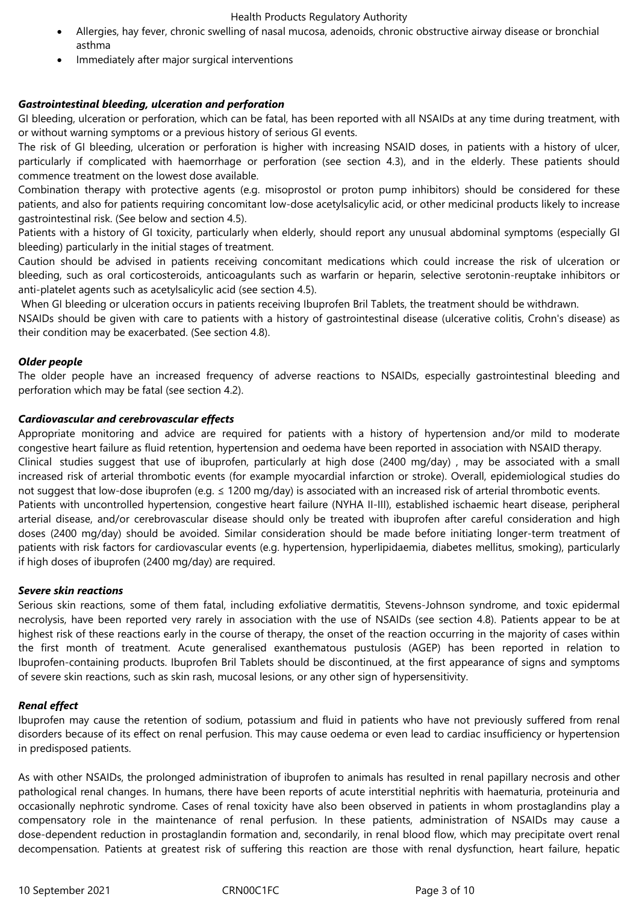- Allergies, hay fever, chronic swelling of nasal mucosa, adenoids, chronic obstructive airway disease or bronchial asthma
- Immediately after major surgical interventions

# *Gastrointestinal bleeding, ulceration and perforation*

GI bleeding, ulceration or perforation, which can be fatal, has been reported with all NSAIDs at any time during treatment, with or without warning symptoms or a previous history of serious GI events.

The risk of GI bleeding, ulceration or perforation is higher with increasing NSAID doses, in patients with a history of ulcer, particularly if complicated with haemorrhage or perforation (see section 4.3), and in the elderly. These patients should commence treatment on the lowest dose available.

Combination therapy with protective agents (e.g. misoprostol or proton pump inhibitors) should be considered for these patients, and also for patients requiring concomitant low-dose acetylsalicylic acid, or other medicinal products likely to increase gastrointestinal risk. (See below and section 4.5).

Patients with a history of GI toxicity, particularly when elderly, should report any unusual abdominal symptoms (especially GI bleeding) particularly in the initial stages of treatment.

Caution should be advised in patients receiving concomitant medications which could increase the risk of ulceration or bleeding, such as oral corticosteroids, anticoagulants such as warfarin or heparin, selective serotonin-reuptake inhibitors or anti-platelet agents such as acetylsalicylic acid (see section 4.5).

When GI bleeding or ulceration occurs in patients receiving Ibuprofen Bril Tablets, the treatment should be withdrawn.

NSAIDs should be given with care to patients with a history of gastrointestinal disease (ulcerative colitis, Crohn's disease) as their condition may be exacerbated. (See section 4.8).

### *Older people*

The older people have an increased frequency of adverse reactions to NSAIDs, especially gastrointestinal bleeding and perforation which may be fatal (see section 4.2).

### *Cardiovascular and cerebrovascular effects*

Appropriate monitoring and advice are required for patients with a history of hypertension and/or mild to moderate congestive heart failure as fluid retention, hypertension and oedema have been reported in association with NSAID therapy. Clinical studies suggest that use of ibuprofen, particularly at high dose (2400 mg/day) , may be associated with a small increased risk of arterial thrombotic events (for example myocardial infarction or stroke). Overall, epidemiological studies do not suggest that low-dose ibuprofen (e.g. ≤ 1200 mg/day) is associated with an increased risk of arterial thrombotic events. Patients with uncontrolled hypertension, congestive heart failure (NYHA II-III), established ischaemic heart disease, peripheral arterial disease, and/or cerebrovascular disease should only be treated with ibuprofen after careful consideration and high doses (2400 mg/day) should be avoided. Similar consideration should be made before initiating longer-term treatment of patients with risk factors for cardiovascular events (e.g. hypertension, hyperlipidaemia, diabetes mellitus, smoking), particularly if high doses of ibuprofen (2400 mg/day) are required.

### *Severe skin reactions*

Serious skin reactions, some of them fatal, including exfoliative dermatitis, Stevens-Johnson syndrome, and toxic epidermal necrolysis, have been reported very rarely in association with the use of NSAIDs (see section 4.8). Patients appear to be at highest risk of these reactions early in the course of therapy, the onset of the reaction occurring in the majority of cases within the first month of treatment. Acute generalised exanthematous pustulosis (AGEP) has been reported in relation to Ibuprofen-containing products. Ibuprofen Bril Tablets should be discontinued, at the first appearance of signs and symptoms of severe skin reactions, such as skin rash, mucosal lesions, or any other sign of hypersensitivity.

### *Renal effect*

Ibuprofen may cause the retention of sodium, potassium and fluid in patients who have not previously suffered from renal disorders because of its effect on renal perfusion. This may cause oedema or even lead to cardiac insufficiency or hypertension in predisposed patients.

As with other NSAIDs, the prolonged administration of ibuprofen to animals has resulted in renal papillary necrosis and other pathological renal changes. In humans, there have been reports of acute interstitial nephritis with haematuria, proteinuria and occasionally nephrotic syndrome. Cases of renal toxicity have also been observed in patients in whom prostaglandins play a compensatory role in the maintenance of renal perfusion. In these patients, administration of NSAIDs may cause a dose-dependent reduction in prostaglandin formation and, secondarily, in renal blood flow, which may precipitate overt renal decompensation. Patients at greatest risk of suffering this reaction are those with renal dysfunction, heart failure, hepatic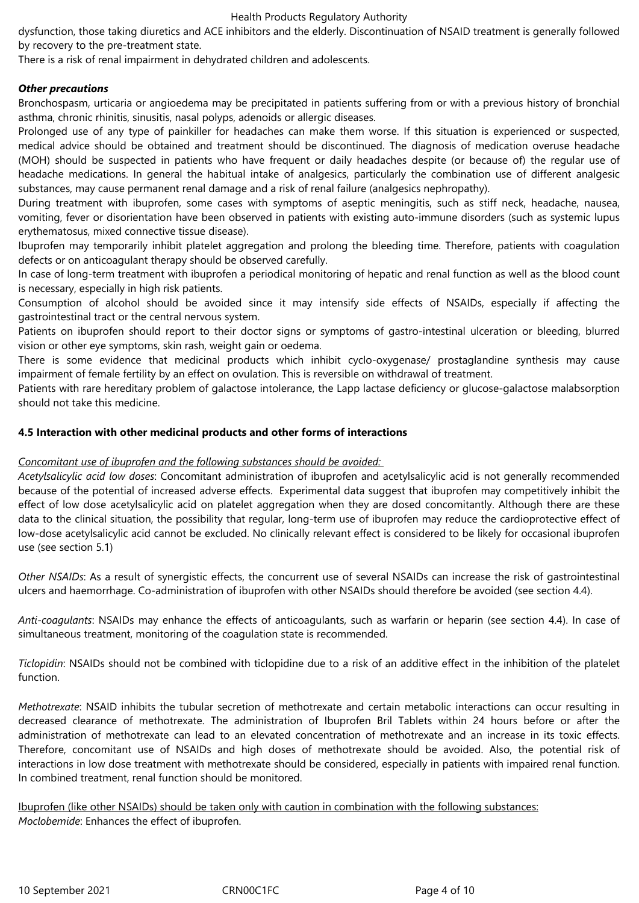dysfunction, those taking diuretics and ACE inhibitors and the elderly. Discontinuation of NSAID treatment is generally followed by recovery to the pre-treatment state.

There is a risk of renal impairment in dehydrated children and adolescents.

### *Other precautions*

Bronchospasm, urticaria or angioedema may be precipitated in patients suffering from or with a previous history of bronchial asthma, chronic rhinitis, sinusitis, nasal polyps, adenoids or allergic diseases.

Prolonged use of any type of painkiller for headaches can make them worse. If this situation is experienced or suspected, medical advice should be obtained and treatment should be discontinued. The diagnosis of medication overuse headache (MOH) should be suspected in patients who have frequent or daily headaches despite (or because of) the regular use of headache medications. In general the habitual intake of analgesics, particularly the combination use of different analgesic substances, may cause permanent renal damage and a risk of renal failure (analgesics nephropathy).

During treatment with ibuprofen, some cases with symptoms of aseptic meningitis, such as stiff neck, headache, nausea, vomiting, fever or disorientation have been observed in patients with existing auto-immune disorders (such as systemic lupus erythematosus, mixed connective tissue disease).

Ibuprofen may temporarily inhibit platelet aggregation and prolong the bleeding time. Therefore, patients with coagulation defects or on anticoagulant therapy should be observed carefully.

In case of long-term treatment with ibuprofen a periodical monitoring of hepatic and renal function as well as the blood count is necessary, especially in high risk patients.

Consumption of alcohol should be avoided since it may intensify side effects of NSAIDs, especially if affecting the gastrointestinal tract or the central nervous system.

Patients on ibuprofen should report to their doctor signs or symptoms of gastro-intestinal ulceration or bleeding, blurred vision or other eye symptoms, skin rash, weight gain or oedema.

There is some evidence that medicinal products which inhibit cyclo-oxygenase/ prostaglandine synthesis may cause impairment of female fertility by an effect on ovulation. This is reversible on withdrawal of treatment.

Patients with rare hereditary problem of galactose intolerance, the Lapp lactase deficiency or glucose-galactose malabsorption should not take this medicine.

### **4.5 Interaction with other medicinal products and other forms of interactions**

### *Concomitant use of ibuprofen and the following substances should be avoided:*

*Acetylsalicylic acid low doses*: Concomitant administration of ibuprofen and acetylsalicylic acid is not generally recommended because of the potential of increased adverse effects. Experimental data suggest that ibuprofen may competitively inhibit the effect of low dose acetylsalicylic acid on platelet aggregation when they are dosed concomitantly. Although there are these data to the clinical situation, the possibility that regular, long-term use of ibuprofen may reduce the cardioprotective effect of low-dose acetylsalicylic acid cannot be excluded. No clinically relevant effect is considered to be likely for occasional ibuprofen use (see section 5.1)

*Other NSAIDs*: As a result of synergistic effects, the concurrent use of several NSAIDs can increase the risk of gastrointestinal ulcers and haemorrhage. Co-administration of ibuprofen with other NSAIDs should therefore be avoided (see section 4.4).

*Anti-coagulants*: NSAIDs may enhance the effects of anticoagulants, such as warfarin or heparin (see section 4.4). In case of simultaneous treatment, monitoring of the coagulation state is recommended.

*Ticlopidin*: NSAIDs should not be combined with ticlopidine due to a risk of an additive effect in the inhibition of the platelet function.

*Methotrexate*: NSAID inhibits the tubular secretion of methotrexate and certain metabolic interactions can occur resulting in decreased clearance of methotrexate. The administration of Ibuprofen Bril Tablets within 24 hours before or after the administration of methotrexate can lead to an elevated concentration of methotrexate and an increase in its toxic effects. Therefore, concomitant use of NSAIDs and high doses of methotrexate should be avoided. Also, the potential risk of interactions in low dose treatment with methotrexate should be considered, especially in patients with impaired renal function. In combined treatment, renal function should be monitored.

Ibuprofen (like other NSAIDs) should be taken only with caution in combination with the following substances: *Moclobemide*: Enhances the effect of ibuprofen.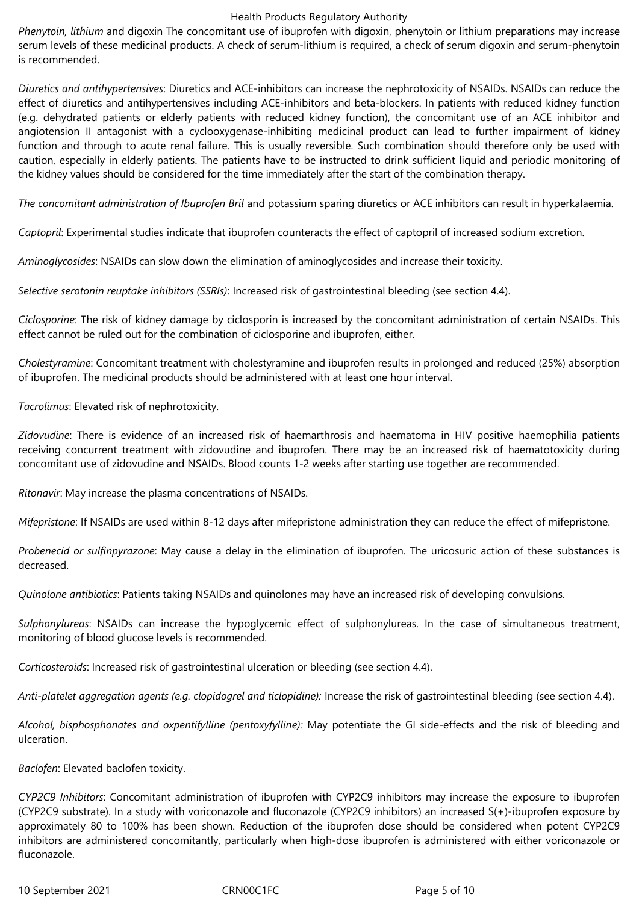*Phenytoin, lithium* and digoxin The concomitant use of ibuprofen with digoxin, phenytoin or lithium preparations may increase serum levels of these medicinal products. A check of serum-lithium is required, a check of serum digoxin and serum-phenytoin is recommended.

*Diuretics and antihypertensives*: Diuretics and ACE-inhibitors can increase the nephrotoxicity of NSAIDs. NSAIDs can reduce the effect of diuretics and antihypertensives including ACE-inhibitors and beta-blockers. In patients with reduced kidney function (e.g. dehydrated patients or elderly patients with reduced kidney function), the concomitant use of an ACE inhibitor and angiotension II antagonist with a cyclooxygenase-inhibiting medicinal product can lead to further impairment of kidney function and through to acute renal failure. This is usually reversible. Such combination should therefore only be used with caution, especially in elderly patients. The patients have to be instructed to drink sufficient liquid and periodic monitoring of the kidney values should be considered for the time immediately after the start of the combination therapy.

*The concomitant administration of Ibuprofen Bril* and potassium sparing diuretics or ACE inhibitors can result in hyperkalaemia.

*Captopril*: Experimental studies indicate that ibuprofen counteracts the effect of captopril of increased sodium excretion.

*Aminoglycosides*: NSAIDs can slow down the elimination of aminoglycosides and increase their toxicity.

*Selective serotonin reuptake inhibitors (SSRIs)*: Increased risk of gastrointestinal bleeding (see section 4.4).

*Ciclosporine*: The risk of kidney damage by ciclosporin is increased by the concomitant administration of certain NSAIDs. This effect cannot be ruled out for the combination of ciclosporine and ibuprofen, either.

*Cholestyramine*: Concomitant treatment with cholestyramine and ibuprofen results in prolonged and reduced (25%) absorption of ibuprofen. The medicinal products should be administered with at least one hour interval.

*Tacrolimus*: Elevated risk of nephrotoxicity.

*Zidovudine*: There is evidence of an increased risk of haemarthrosis and haematoma in HIV positive haemophilia patients receiving concurrent treatment with zidovudine and ibuprofen. There may be an increased risk of haematotoxicity during concomitant use of zidovudine and NSAIDs. Blood counts 1-2 weeks after starting use together are recommended.

*Ritonavir*: May increase the plasma concentrations of NSAIDs.

*Mifepristone*: If NSAIDs are used within 8-12 days after mifepristone administration they can reduce the effect of mifepristone.

*Probenecid or sulfinpyrazone*: May cause a delay in the elimination of ibuprofen. The uricosuric action of these substances is decreased.

*Quinolone antibiotics*: Patients taking NSAIDs and quinolones may have an increased risk of developing convulsions.

*Sulphonylureas*: NSAIDs can increase the hypoglycemic effect of sulphonylureas. In the case of simultaneous treatment, monitoring of blood glucose levels is recommended.

*Corticosteroids*: Increased risk of gastrointestinal ulceration or bleeding (see section 4.4).

*Anti-platelet aggregation agents (e.g. clopidogrel and ticlopidine):* Increase the risk of gastrointestinal bleeding (see section 4.4).

*Alcohol, bisphosphonates and oxpentifylline (pentoxyfylline):* May potentiate the GI side-effects and the risk of bleeding and ulceration.

*Baclofen*: Elevated baclofen toxicity.

*CYP2C9 Inhibitors*: Concomitant administration of ibuprofen with CYP2C9 inhibitors may increase the exposure to ibuprofen (CYP2C9 substrate). In a study with voriconazole and fluconazole (CYP2C9 inhibitors) an increased S(+)-ibuprofen exposure by approximately 80 to 100% has been shown. Reduction of the ibuprofen dose should be considered when potent CYP2C9 inhibitors are administered concomitantly, particularly when high-dose ibuprofen is administered with either voriconazole or fluconazole.

10 September 2021 CRN00C1FC Page 5 of 10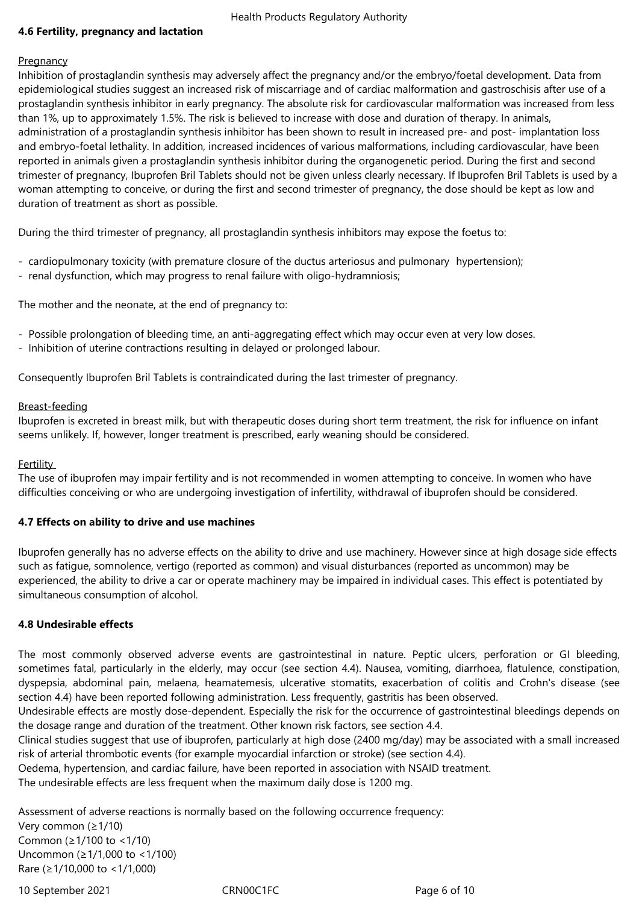# **4.6 Fertility, pregnancy and lactation**

#### **Pregnancy**

Inhibition of prostaglandin synthesis may adversely affect the pregnancy and/or the embryo/foetal development. Data from epidemiological studies suggest an increased risk of miscarriage and of cardiac malformation and gastroschisis after use of a prostaglandin synthesis inhibitor in early pregnancy. The absolute risk for cardiovascular malformation was increased from less than 1%, up to approximately 1.5%. The risk is believed to increase with dose and duration of therapy. In animals, administration of a prostaglandin synthesis inhibitor has been shown to result in increased pre- and post- implantation loss and embryo-foetal lethality. In addition, increased incidences of various malformations, including cardiovascular, have been reported in animals given a prostaglandin synthesis inhibitor during the organogenetic period. During the first and second trimester of pregnancy, Ibuprofen Bril Tablets should not be given unless clearly necessary. If Ibuprofen Bril Tablets is used by a woman attempting to conceive, or during the first and second trimester of pregnancy, the dose should be kept as low and duration of treatment as short as possible.

During the third trimester of pregnancy, all prostaglandin synthesis inhibitors may expose the foetus to:

- cardiopulmonary toxicity (with premature closure of the ductus arteriosus and pulmonary hypertension);
- renal dysfunction, which may progress to renal failure with oligo-hydramniosis;

The mother and the neonate, at the end of pregnancy to:

- Possible prolongation of bleeding time, an anti-aggregating effect which may occur even at very low doses.
- Inhibition of uterine contractions resulting in delayed or prolonged labour.

Consequently Ibuprofen Bril Tablets is contraindicated during the last trimester of pregnancy.

### Breast-feeding

Ibuprofen is excreted in breast milk, but with therapeutic doses during short term treatment, the risk for influence on infant seems unlikely. If, however, longer treatment is prescribed, early weaning should be considered.

### Fertility

The use of ibuprofen may impair fertility and is not recommended in women attempting to conceive. In women who have difficulties conceiving or who are undergoing investigation of infertility, withdrawal of ibuprofen should be considered.

### **4.7 Effects on ability to drive and use machines**

Ibuprofen generally has no adverse effects on the ability to drive and use machinery. However since at high dosage side effects such as fatigue, somnolence, vertigo (reported as common) and visual disturbances (reported as uncommon) may be experienced, the ability to drive a car or operate machinery may be impaired in individual cases. This effect is potentiated by simultaneous consumption of alcohol.

### **4.8 Undesirable effects**

The most commonly observed adverse events are gastrointestinal in nature. Peptic ulcers, perforation or GI bleeding, sometimes fatal, particularly in the elderly, may occur (see section 4.4). Nausea, vomiting, diarrhoea, flatulence, constipation, dyspepsia, abdominal pain, melaena, heamatemesis, ulcerative stomatits, exacerbation of colitis and Crohn's disease (see section 4.4) have been reported following administration. Less frequently, gastritis has been observed.

Undesirable effects are mostly dose-dependent. Especially the risk for the occurrence of gastrointestinal bleedings depends on the dosage range and duration of the treatment. Other known risk factors, see section 4.4.

Clinical studies suggest that use of ibuprofen, particularly at high dose (2400 mg/day) may be associated with a small increased risk of arterial thrombotic events (for example myocardial infarction or stroke) (see section 4.4).

Oedema, hypertension, and cardiac failure, have been reported in association with NSAID treatment.

The undesirable effects are less frequent when the maximum daily dose is 1200 mg.

Assessment of adverse reactions is normally based on the following occurrence frequency: Very common (≥1/10) Common (≥1/100 to <1/10) Uncommon (≥1/1,000 to <1/100) Rare (≥1/10,000 to <1/1,000)

10 September 2021 CRN00C1FC Page 6 of 10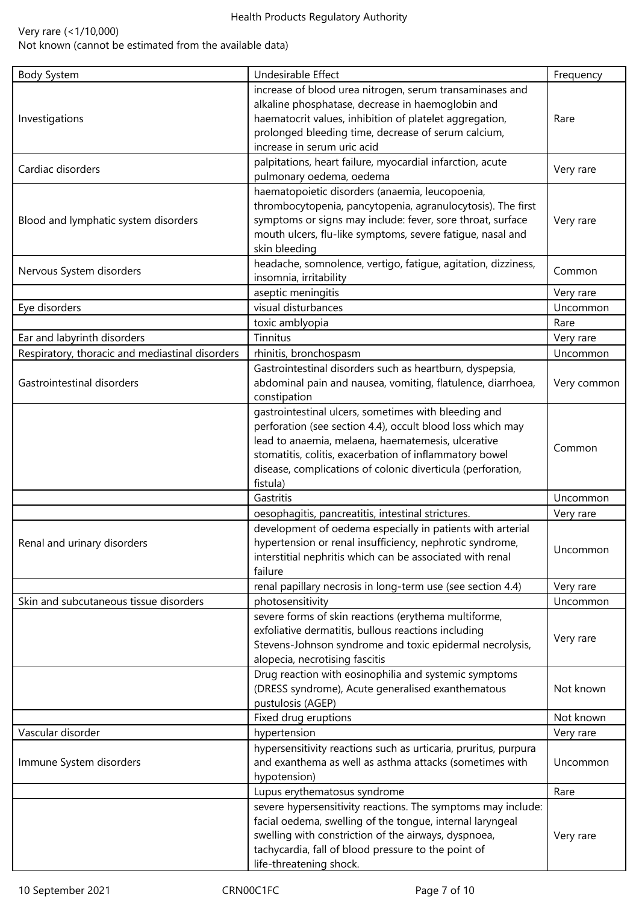# Very rare (<1/10,000)

Not known (cannot be estimated from the available data)

| <b>Body System</b>                              | Undesirable Effect                                                                                                                                                                                                                                                                                             | Frequency   |
|-------------------------------------------------|----------------------------------------------------------------------------------------------------------------------------------------------------------------------------------------------------------------------------------------------------------------------------------------------------------------|-------------|
| Investigations                                  | increase of blood urea nitrogen, serum transaminases and<br>alkaline phosphatase, decrease in haemoglobin and<br>haematocrit values, inhibition of platelet aggregation,<br>prolonged bleeding time, decrease of serum calcium,<br>increase in serum uric acid                                                 | Rare        |
| Cardiac disorders                               | palpitations, heart failure, myocardial infarction, acute<br>pulmonary oedema, oedema                                                                                                                                                                                                                          | Very rare   |
| Blood and lymphatic system disorders            | haematopoietic disorders (anaemia, leucopoenia,<br>thrombocytopenia, pancytopenia, agranulocytosis). The first<br>symptoms or signs may include: fever, sore throat, surface<br>mouth ulcers, flu-like symptoms, severe fatigue, nasal and<br>skin bleeding                                                    | Very rare   |
| Nervous System disorders                        | headache, somnolence, vertigo, fatigue, agitation, dizziness,<br>insomnia, irritability                                                                                                                                                                                                                        | Common      |
|                                                 | aseptic meningitis                                                                                                                                                                                                                                                                                             | Very rare   |
| Eye disorders                                   | visual disturbances                                                                                                                                                                                                                                                                                            | Uncommon    |
|                                                 | toxic amblyopia                                                                                                                                                                                                                                                                                                | Rare        |
| Ear and labyrinth disorders                     | Tinnitus                                                                                                                                                                                                                                                                                                       | Very rare   |
| Respiratory, thoracic and mediastinal disorders | rhinitis, bronchospasm                                                                                                                                                                                                                                                                                         | Uncommon    |
| Gastrointestinal disorders                      | Gastrointestinal disorders such as heartburn, dyspepsia,<br>abdominal pain and nausea, vomiting, flatulence, diarrhoea,<br>constipation                                                                                                                                                                        | Very common |
|                                                 | gastrointestinal ulcers, sometimes with bleeding and<br>perforation (see section 4.4), occult blood loss which may<br>lead to anaemia, melaena, haematemesis, ulcerative<br>stomatitis, colitis, exacerbation of inflammatory bowel<br>disease, complications of colonic diverticula (perforation,<br>fistula) | Common      |
|                                                 | Gastritis                                                                                                                                                                                                                                                                                                      | Uncommon    |
|                                                 | oesophagitis, pancreatitis, intestinal strictures.                                                                                                                                                                                                                                                             | Very rare   |
| Renal and urinary disorders                     | development of oedema especially in patients with arterial<br>hypertension or renal insufficiency, nephrotic syndrome,<br>interstitial nephritis which can be associated with renal<br>failure                                                                                                                 | Uncommon    |
|                                                 | renal papillary necrosis in long-term use (see section 4.4)                                                                                                                                                                                                                                                    | Very rare   |
| Skin and subcutaneous tissue disorders          | photosensitivity                                                                                                                                                                                                                                                                                               | Uncommon    |
|                                                 | severe forms of skin reactions (erythema multiforme,<br>exfoliative dermatitis, bullous reactions including<br>Stevens-Johnson syndrome and toxic epidermal necrolysis,<br>alopecia, necrotising fascitis                                                                                                      | Very rare   |
|                                                 | Drug reaction with eosinophilia and systemic symptoms<br>(DRESS syndrome), Acute generalised exanthematous<br>pustulosis (AGEP)                                                                                                                                                                                | Not known   |
|                                                 | Fixed drug eruptions                                                                                                                                                                                                                                                                                           | Not known   |
| Vascular disorder                               | hypertension                                                                                                                                                                                                                                                                                                   | Very rare   |
| Immune System disorders                         | hypersensitivity reactions such as urticaria, pruritus, purpura<br>and exanthema as well as asthma attacks (sometimes with<br>hypotension)                                                                                                                                                                     | Uncommon    |
|                                                 | Lupus erythematosus syndrome                                                                                                                                                                                                                                                                                   | Rare        |
|                                                 | severe hypersensitivity reactions. The symptoms may include:<br>facial oedema, swelling of the tongue, internal laryngeal<br>swelling with constriction of the airways, dyspnoea,<br>tachycardia, fall of blood pressure to the point of<br>life-threatening shock.                                            | Very rare   |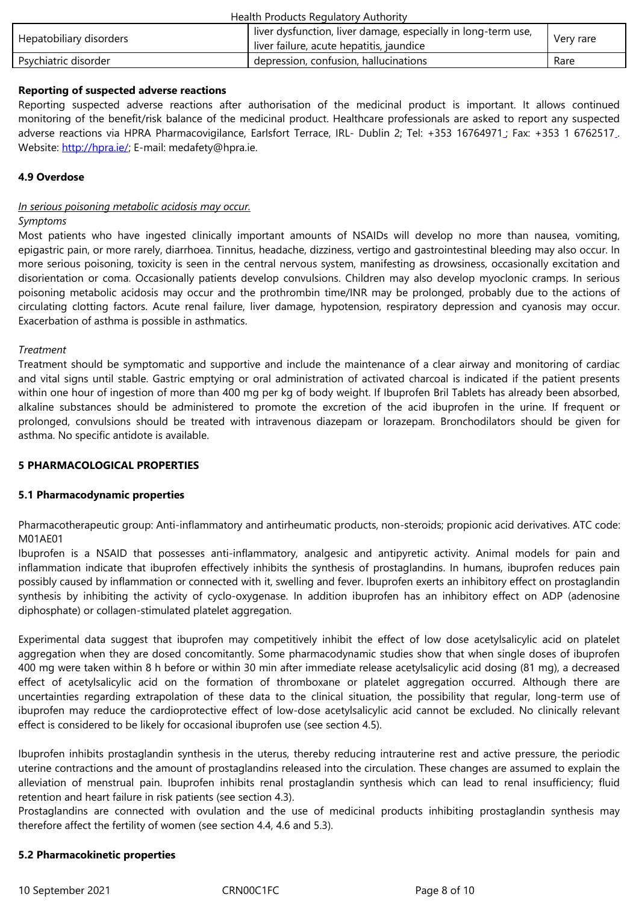#### **Reporting of suspected adverse reactions**

Reporting suspected adverse reactions after authorisation of the medicinal product is important. It allows continued monitoring of the benefit/risk balance of the medicinal product. Healthcare professionals are asked to report any suspected adverse reactions via HPRA Pharmacovigilance, Earlsfort Terrace, IRL- Dublin 2; Tel: +353 16764971; Fax: +353 1 6762517. Website: http://hpra.ie/; E-mail: medafety@hpra.ie.

### **4.9 Overdose**

#### *In serious [poisoning met](http://hpra.ie/)abolic acidosis may occur.*

#### *Symptoms*

Most patients who have ingested clinically important amounts of NSAIDs will develop no more than nausea, vomiting, epigastric pain, or more rarely, diarrhoea. Tinnitus, headache, dizziness, vertigo and gastrointestinal bleeding may also occur. In more serious poisoning, toxicity is seen in the central nervous system, manifesting as drowsiness, occasionally excitation and disorientation or coma. Occasionally patients develop convulsions. Children may also develop myoclonic cramps. In serious poisoning metabolic acidosis may occur and the prothrombin time/INR may be prolonged, probably due to the actions of circulating clotting factors. Acute renal failure, liver damage, hypotension, respiratory depression and cyanosis may occur. Exacerbation of asthma is possible in asthmatics.

#### *Treatment*

Treatment should be symptomatic and supportive and include the maintenance of a clear airway and monitoring of cardiac and vital signs until stable. Gastric emptying or oral administration of activated charcoal is indicated if the patient presents within one hour of ingestion of more than 400 mg per kg of body weight. If Ibuprofen Bril Tablets has already been absorbed, alkaline substances should be administered to promote the excretion of the acid ibuprofen in the urine. If frequent or prolonged, convulsions should be treated with intravenous diazepam or lorazepam. Bronchodilators should be given for asthma. No specific antidote is available.

#### **5 PHARMACOLOGICAL PROPERTIES**

#### **5.1 Pharmacodynamic properties**

Pharmacotherapeutic group: Anti-inflammatory and antirheumatic products, non-steroids; propionic acid derivatives. ATC code: M01AE01

Ibuprofen is a NSAID that possesses anti-inflammatory, analgesic and antipyretic activity. Animal models for pain and inflammation indicate that ibuprofen effectively inhibits the synthesis of prostaglandins. In humans, ibuprofen reduces pain possibly caused by inflammation or connected with it, swelling and fever. Ibuprofen exerts an inhibitory effect on prostaglandin synthesis by inhibiting the activity of cyclo-oxygenase. In addition ibuprofen has an inhibitory effect on ADP (adenosine diphosphate) or collagen-stimulated platelet aggregation.

Experimental data suggest that ibuprofen may competitively inhibit the effect of low dose acetylsalicylic acid on platelet aggregation when they are dosed concomitantly. Some pharmacodynamic studies show that when single doses of ibuprofen 400 mg were taken within 8 h before or within 30 min after immediate release acetylsalicylic acid dosing (81 mg), a decreased effect of acetylsalicylic acid on the formation of thromboxane or platelet aggregation occurred. Although there are uncertainties regarding extrapolation of these data to the clinical situation, the possibility that regular, long-term use of ibuprofen may reduce the cardioprotective effect of low-dose acetylsalicylic acid cannot be excluded. No clinically relevant effect is considered to be likely for occasional ibuprofen use (see section 4.5).

Ibuprofen inhibits prostaglandin synthesis in the uterus, thereby reducing intrauterine rest and active pressure, the periodic uterine contractions and the amount of prostaglandins released into the circulation. These changes are assumed to explain the alleviation of menstrual pain. Ibuprofen inhibits renal prostaglandin synthesis which can lead to renal insufficiency; fluid retention and heart failure in risk patients (see section 4.3).

Prostaglandins are connected with ovulation and the use of medicinal products inhibiting prostaglandin synthesis may therefore affect the fertility of women (see section 4.4, 4.6 and 5.3).

#### **5.2 Pharmacokinetic properties**

10 September 2021 CRN00C1FC Page 8 of 10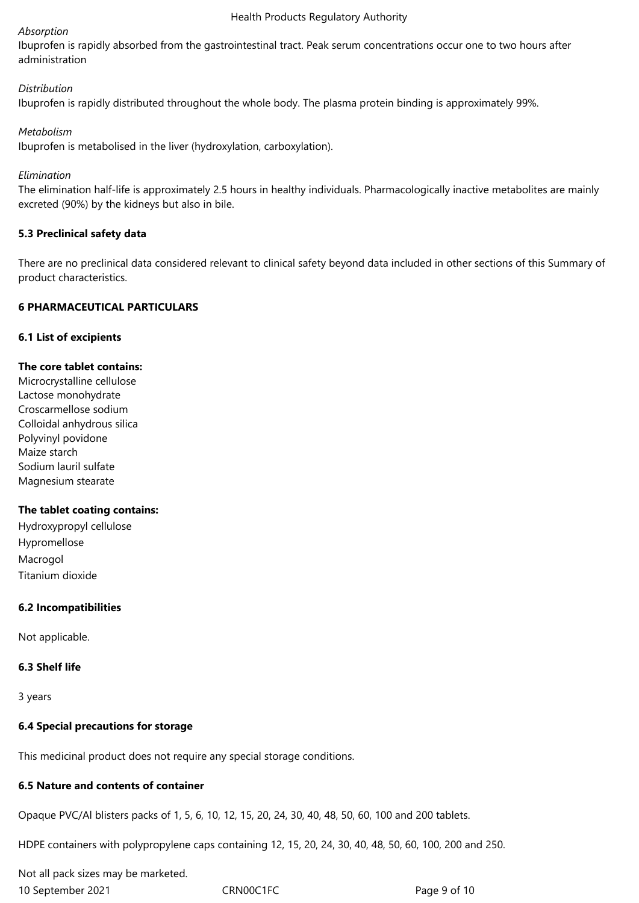### *Absorption*

Ibuprofen is rapidly absorbed from the gastrointestinal tract. Peak serum concentrations occur one to two hours after administration

# *Distribution*

Ibuprofen is rapidly distributed throughout the whole body. The plasma protein binding is approximately 99%.

# *Metabolism*

Ibuprofen is metabolised in the liver (hydroxylation, carboxylation).

### *Elimination*

The elimination half-life is approximately 2.5 hours in healthy individuals. Pharmacologically inactive metabolites are mainly excreted (90%) by the kidneys but also in bile.

# **5.3 Preclinical safety data**

There are no preclinical data considered relevant to clinical safety beyond data included in other sections of this Summary of product characteristics.

# **6 PHARMACEUTICAL PARTICULARS**

# **6.1 List of excipients**

# **The core tablet contains:**

Microcrystalline cellulose Lactose monohydrate Croscarmellose sodium Colloidal anhydrous silica Polyvinyl povidone Maize starch Sodium lauril sulfate Magnesium stearate

### **The tablet coating contains:**

Hydroxypropyl cellulose Hypromellose Macrogol Titanium dioxide

# **6.2 Incompatibilities**

Not applicable.

# **6.3 Shelf life**

3 years

# **6.4 Special precautions for storage**

This medicinal product does not require any special storage conditions.

# **6.5 Nature and contents of container**

Opaque PVC/Al blisters packs of 1, 5, 6, 10, 12, 15, 20, 24, 30, 40, 48, 50, 60, 100 and 200 tablets.

HDPE containers with polypropylene caps containing 12, 15, 20, 24, 30, 40, 48, 50, 60, 100, 200 and 250.

10 September 2021 CRN00C1FC **Page 9 of 10** Not all pack sizes may be marketed.